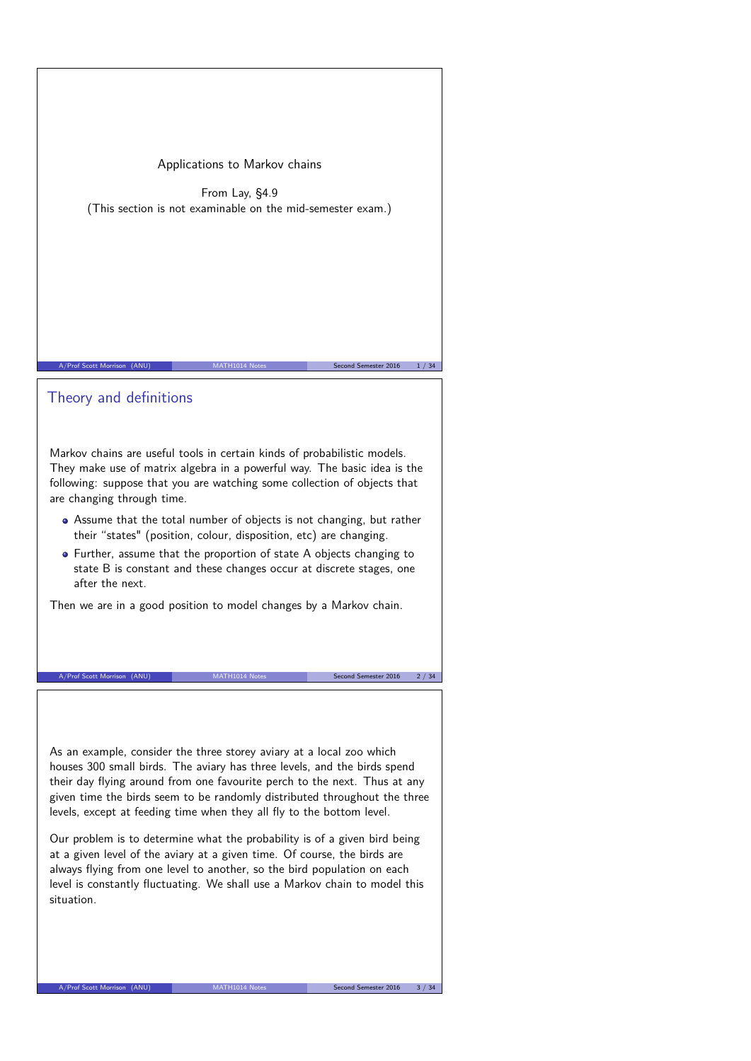Applications to Markov chains

From Lay, §4.9 (This section is not examinable on the mid-semester exam.)

## Theory and definitions

Markov chains are useful tools in certain kinds of probabilistic models. They make use of matrix algebra in a powerful way. The basic idea is the following: suppose that you are watching some collection of objects that are changing through time.

A/Prof Scott Morrison (ANU) MATH1014 Notes Second Semester 2016 1/34

- Assume that the total number of objects is not changing, but rather their "states" (position, colour, disposition, etc) are changing.
- Further, assume that the proportion of state A objects changing to state B is constant and these changes occur at discrete stages, one after the next.

Then we are in a good position to model changes by a Markov chain.

A/Prof Scott Morrison (ANU) MATH1014 Notes Second Semester 2016 2 / 34

As an example, consider the three storey aviary at a local zoo which houses 300 small birds. The aviary has three levels, and the birds spend their day flying around from one favourite perch to the next. Thus at any given time the birds seem to be randomly distributed throughout the three levels, except at feeding time when they all fly to the bottom level.

Our problem is to determine what the probability is of a given bird being at a given level of the aviary at a given time. Of course, the birds are always flying from one level to another, so the bird population on each level is constantly fluctuating. We shall use a Markov chain to model this situation.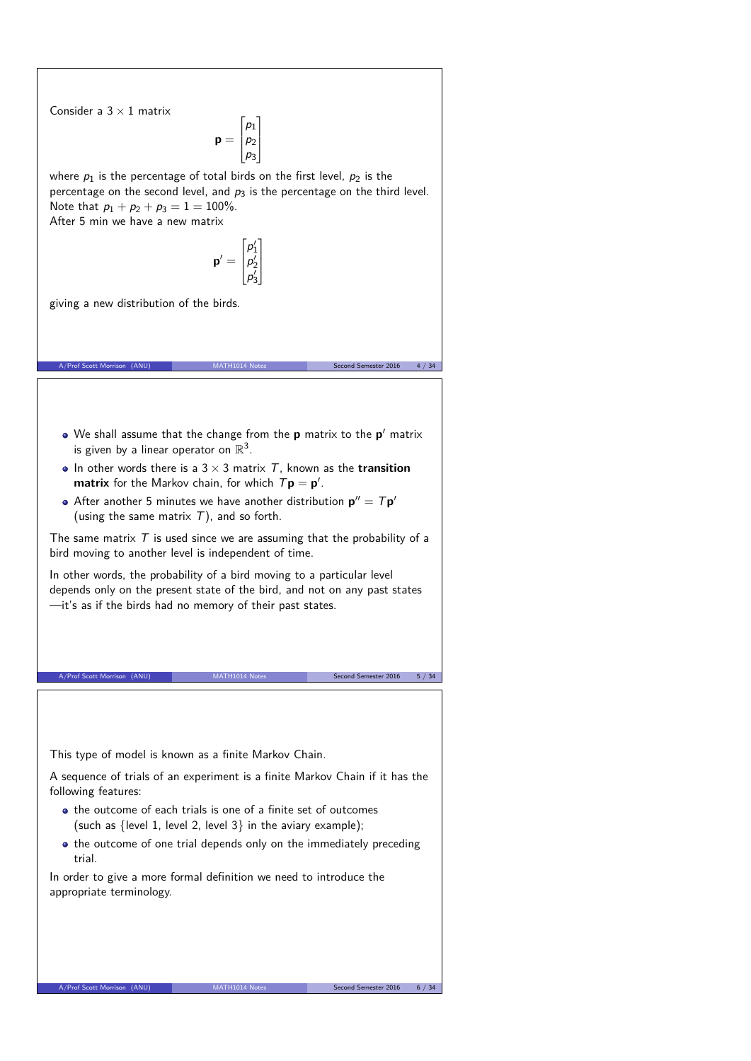Consider a  $3 \times 1$  matrix

 $p =$  $\Gamma$  $\Bigg\}$  $p_1$  $p<sub>2</sub>$  $p_3$ T  $\mathbf{I}$ 

where  $p_1$  is the percentage of total birds on the first level,  $p_2$  is the percentage on the second level, and  $p_3$  is the percentage on the third level. Note that  $p_1 + p_2 + p_3 = 1 = 100\%$ . After 5 min we have a new matrix

$$
\mathbf{p}' = \begin{bmatrix} p'_1 \\ p'_2 \\ p'_3 \end{bmatrix}
$$

T  $\mathbf{I}$  $\mathbf{I}$ 

giving a new distribution of the birds.

We shall assume that the change from the **p** matrix to the **p** 0 matrix is given by a linear operator on  $\mathbb{R}^3$ .

A/Prof Scott Morrison (ANU) MATH1014 Notes Second Semester 2016 4 / 34

- In other words there is a  $3 \times 3$  matrix  $T$ , known as the **transition matrix** for the Markov chain, for which  $T\mathbf{p} = \mathbf{p}'$ .
- After another 5 minutes we have another distribution  $\mathbf{p}'' = T \mathbf{p}'$ (using the same matrix  $T$ ), and so forth.

The same matrix  $T$  is used since we are assuming that the probability of a bird moving to another level is independent of time.

In other words, the probability of a bird moving to a particular level depends only on the present state of the bird, and not on any past states —it's as if the birds had no memory of their past states.

A/Prof Scott Morrison (ANU) MATH1014 Notes Second Semester 2016 5 / 34

This type of model is known as a finite Markov Chain.

A sequence of trials of an experiment is a finite Markov Chain if it has the following features:

- the outcome of each trials is one of a finite set of outcomes (such as  $\{level 1, level 2, level 3\}$  in the aviary example);
- the outcome of one trial depends only on the immediately preceding trial.

In order to give a more formal definition we need to introduce the appropriate terminology.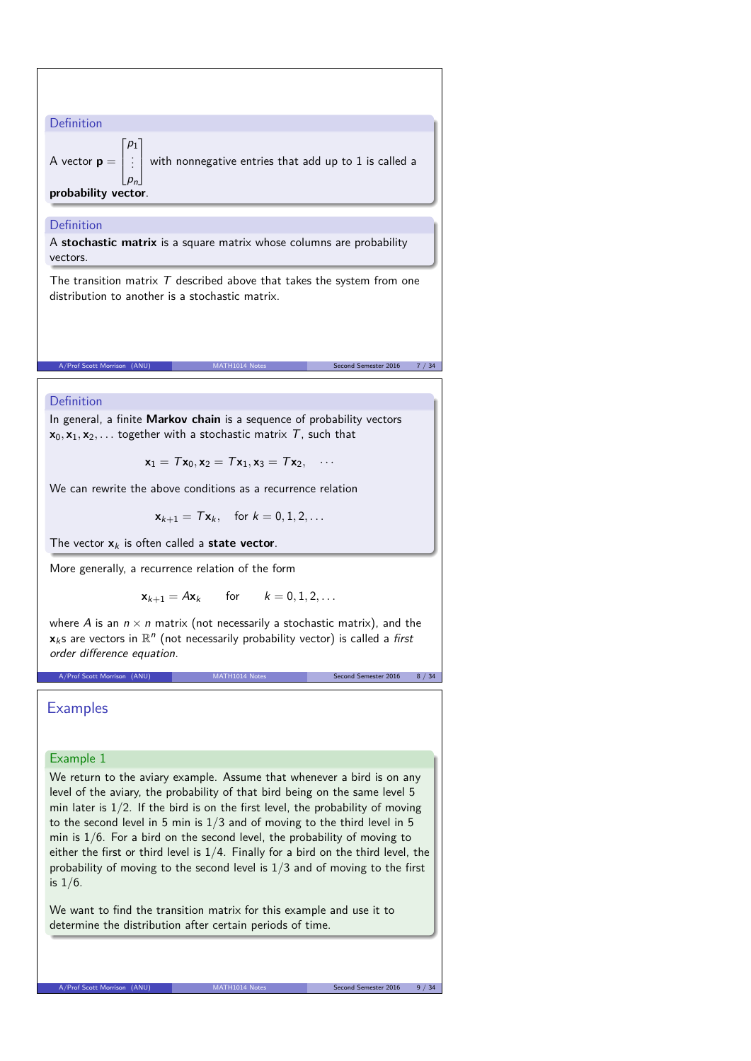Definition  
\nA vector 
$$
\mathbf{p} = \begin{bmatrix} p_1 \\ \vdots \\ p_n \end{bmatrix}
$$
 with nonnegative entries that add up to 1 is called a  
\nprobability vector.  
\nDefinition  
\nA stochastic matrix is a square matrix whose columns are probability  
\nvectors.  
\nThe transition matrix  $T$  described above that takes the system from one  
\ndistribution to another is a stochastic matrix.  
\nA/Post Scott Montson (ANU)  
\nMATH1014 Rotes  
\nA/Post Scott Montson (ANU)  
\nMATH1014 Rotes  
\nA/Post Scott Montson (ANU)  
\nMATH1014 Rotes  
\nSicond Sumsate 2016 - 7/34  
\nDefinition  
\nIn general, a finite Markov chain is a sequence of probability vectors  
\n $x_0, x_1, x_2, ...$  together with a stochastic matrix  $T$ , such that  
\n $x_1 = Tx_0, x_2 = Tx_1, x_3 = Tx_2, ...$   
\nWe can rewrite the above conditions as a recurrence relation  
\n $x_{k+1} = Tx_k$ , for  $k = 0, 1, 2, ...$   
\nThe vector  $x_k$  is often called a **state vector**.  
\nMore generally, a recurrence relation of the form  
\n $x_{k+1} = Ax_k$  for  $k = 0, 1, 2, ...$   
\nwhere A is an  $n \times n$  matrix (not necessarily a stochastic matrix), and the  
\n $x_k$ s are vectors in  $\mathbb{R}^n$  (not necessarily probability vector) is called a *first*  
\norder difference equation.  
\nA/Post state Montson (ABU)  
\nMATH1014 Rises  
\nExample 1  
\nWe return to the a  
\nlevel of the auxiliary example. Assume that whenever a bird is on any  
\nlevel of the a  
\nWeyl of the a  
\n*Y* are probability of that bird being on the same level 5

min later is  $1/2$ . If the bird is on the first level, the probability of moving to the second level in 5 min is  $1/3$  and of moving to the third level in 5 min is  $1/6$ . For a bird on the second level, the probability of moving to either the first or third level is  $1/4$ . Finally for a bird on the third level, the probability of moving to the second level is 1/3 and of moving to the first

We want to find the transition matrix for this example and use it to

determine the distribution after certain periods of time.

is 1/6.

A/Prof Scott Morrison (ANU) MATH1014 Notes Second Semester 2016 9 / 34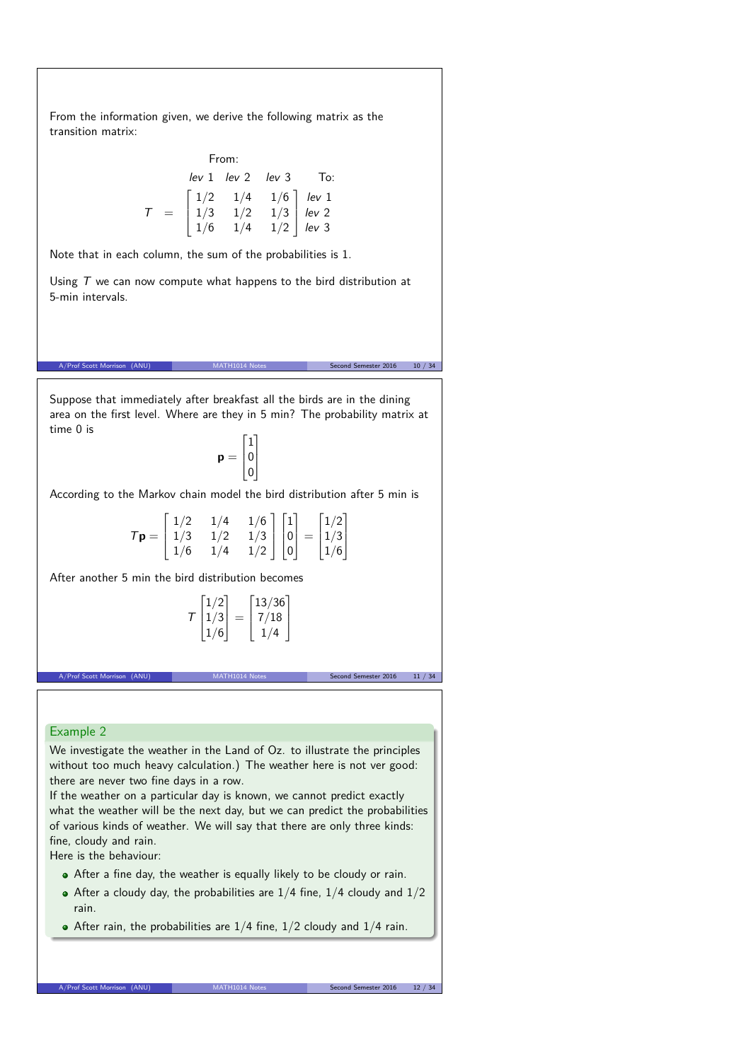From the information given, we derive the following matrix as the transition matrix:

|       | From: |                                                                                                                                                  |  |  |  |
|-------|-------|--------------------------------------------------------------------------------------------------------------------------------------------------|--|--|--|
|       |       | lev 1 lev 2 lev 3 To:                                                                                                                            |  |  |  |
|       |       | $\begin{bmatrix} 1/2 & 1/4 & 1/6 \\ 1/3 & 1/2 & 1/3 \\ 1/6 & 1/4 & 1/2 \end{bmatrix} \begin{array}{c} lev \ 1 \\ lev \ 2 \\ lev \ 3 \end{array}$ |  |  |  |
| $T =$ |       |                                                                                                                                                  |  |  |  |
|       |       |                                                                                                                                                  |  |  |  |

Note that in each column, the sum of the probabilities is 1.

Using  $T$  we can now compute what happens to the bird distribution at 5-min intervals.

Suppose that immediately after breakfast all the birds are in the dining area on the first level. Where are they in 5 min? The probability matrix at time 0 is

A/Prof Scott Morrison (ANU) MATH1014 Notes Second Semester 2016 10 / 34

 $\mathbf{p} =$  $\Gamma$  $\overline{\phantom{a}}$ 1 0 0 T  $\mathbb{I}$ 

According to the Markov chain model the bird distribution after 5 min is

| $T\mathbf{p} = \begin{bmatrix} 1/2 \\ 1/3 \end{bmatrix}$ |            | 1/4 |  |                                                                                                                                               |
|----------------------------------------------------------|------------|-----|--|-----------------------------------------------------------------------------------------------------------------------------------------------|
|                                                          |            | 1/2 |  |                                                                                                                                               |
|                                                          | $\mid 1/6$ | 1/4 |  | $\begin{bmatrix} 1/6 \\ 1/3 \\ 1/2 \end{bmatrix} \begin{bmatrix} 1 \\ 0 \\ 0 \end{bmatrix} = \begin{bmatrix} 1/2 \\ 1/3 \\ 1/6 \end{bmatrix}$ |

After another 5 min the bird distribution becomes

$$
T\begin{bmatrix}1/2\\1/3\\1/6\end{bmatrix}=\begin{bmatrix}13/36\\7/18\\1/4\end{bmatrix}
$$

A/Prof Scott Morrison (ANU) MATH1014 Notes Second Semester 2016 11 / 34

### Example 2

We investigate the weather in the Land of Oz. to illustrate the principles without too much heavy calculation.) The weather here is not ver good: there are never two fine days in a row.

If the weather on a particular day is known, we cannot predict exactly what the weather will be the next day, but we can predict the probabilities of various kinds of weather. We will say that there are only three kinds: fine, cloudy and rain.

Here is the behaviour:

- After a fine day, the weather is equally likely to be cloudy or rain.
- After a cloudy day, the probabilities are  $1/4$  fine,  $1/4$  cloudy and  $1/2$ rain.
- $\bullet$  After rain, the probabilities are 1/4 fine, 1/2 cloudy and 1/4 rain.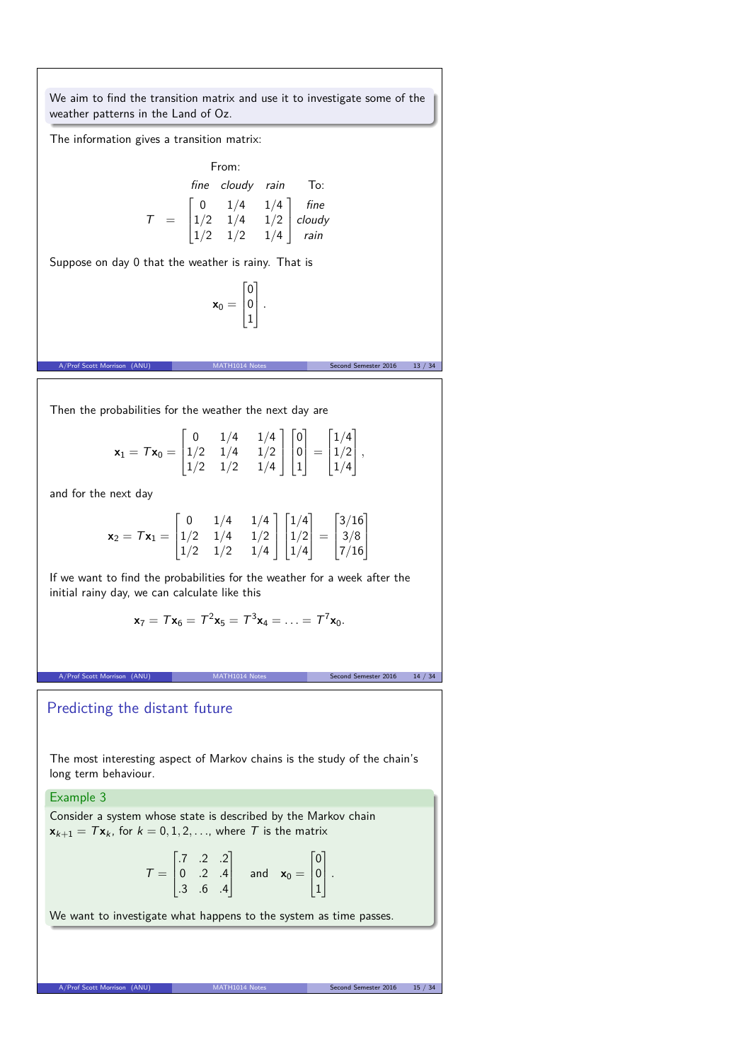We aim to find the transition matrix and use it to investigate some of the weather patterns in the Land of Oz.

The information gives a transition matrix:

From:  
\n
$$
fine \text{ cloudy } rain \text{ To:}
$$
\n
$$
T = \begin{bmatrix} 0 & 1/4 & 1/4 \\ 1/2 & 1/4 & 1/2 \\ 1/2 & 1/2 & 1/4 \end{bmatrix} \begin{matrix} fine \\ cloudy \\ rain \end{matrix}
$$

Suppose on day 0 that the weather is rainy. That is

$$
\textbf{x}_0 = \begin{bmatrix} 0 \\ 0 \\ 1 \end{bmatrix}.
$$

(ANU) MATH1014 Notes Second Semester 2016 13 / 34

Then the probabilities for the weather the next day are

$$
\mathbf{x}_1 = \mathcal{T}\mathbf{x}_0 = \begin{bmatrix} 0 & 1/4 & 1/4 \\ 1/2 & 1/4 & 1/2 \\ 1/2 & 1/2 & 1/4 \end{bmatrix} \begin{bmatrix} 0 \\ 0 \\ 1 \end{bmatrix} = \begin{bmatrix} 1/4 \\ 1/2 \\ 1/4 \end{bmatrix},
$$

and for the next day

$$
\mathbf{x}_2 = \mathcal{T}\mathbf{x}_1 = \begin{bmatrix} 0 & 1/4 & 1/4 \\ 1/2 & 1/4 & 1/2 \\ 1/2 & 1/2 & 1/4 \end{bmatrix} \begin{bmatrix} 1/4 \\ 1/2 \\ 1/4 \end{bmatrix} = \begin{bmatrix} 3/16 \\ 3/8 \\ 7/16 \end{bmatrix}
$$

If we want to find the probabilities for the weather for a week after the initial rainy day, we can calculate like this

$$
\mathbf{x}_7 = T\mathbf{x}_6 = T^2\mathbf{x}_5 = T^3\mathbf{x}_4 = \ldots = T^7\mathbf{x}_0.
$$

A/Prof Scott Morrison (ANU) MATH1014 Notes Second Semester 2016 14 / 34

## Predicting the distant future

The most interesting aspect of Markov chains is the study of the chain's long term behaviour.

## Example 3

Consider a system whose state is described by the Markov chain  $\mathbf{x}_{k+1} = T\mathbf{x}_k$ , for  $k = 0, 1, 2, \ldots$ , where T is the matrix

$$
\mathcal{T} = \begin{bmatrix} .7 & .2 & .2 \\ 0 & .2 & .4 \\ .3 & .6 & .4 \end{bmatrix} \quad \text{and} \quad \mathbf{x}_0 = \begin{bmatrix} 0 \\ 0 \\ 1 \end{bmatrix}.
$$

We want to investigate what happens to the system as time passes.

A/Prof Scott Morrison (ANU) MATH1014 Notes Second Semester 2016 15 / 34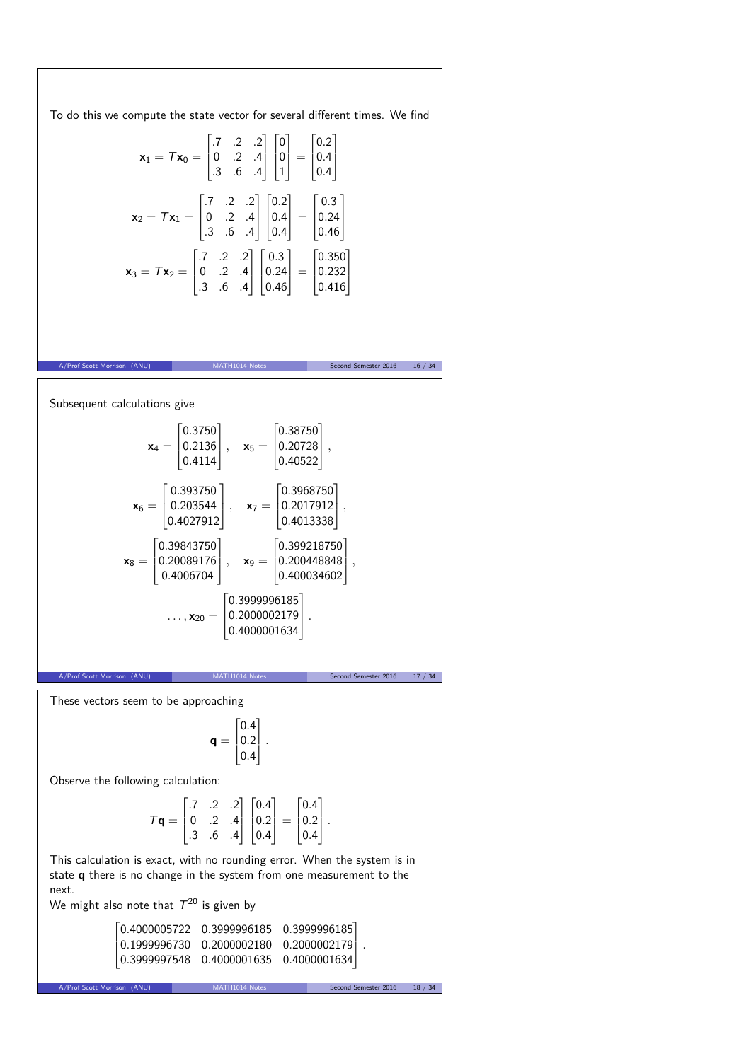To do this we compute the state vector for several different times. We find  $\mathbf{x}_1 = T\mathbf{x}_0 =$  $\Gamma$  $\overline{ }$ *.*7 *.*2 *.*2 0 *.*2 *.*4 *.*3 *.*6 *.*4 T  $\mathbb{R}$ Г  $\mathbf{r}$ 0 0 1 T  $\vert$  =  $\Gamma$  $\overline{ }$ 0*.*2 0*.*4 0*.*4 T  $\mathbb{I}$  $x_2 = Tx_1 =$  $\Gamma$  $\overline{1}$ *.*7 *.*2 *.*2 0 *.*2 *.*4 *.*3 *.*6 *.*4 T  $\mathbb{I}$  $\Gamma$  $\overline{ }$ 0*.*2 0*.*4 0*.*4 T  $\vert$  =  $\Gamma$  $\mathbf{I}$ 0*.*3 0*.*24 0*.*46 T.  $\perp$  $x_3 = Tx_2 =$  $\Gamma$  $\overline{\phantom{a}}$ *.*7 *.*2 *.*2 0 *.*2 *.*4 *.*3 *.*6 *.*4 T  $\mathbb{I}$  $\Gamma$  $\mathbf{r}$ 0*.*3 0*.*24 0*.*46 T  $\vert$  = Г  $\mathbf{I}$ 0*.*350 0*.*232 0*.*416 T  $\mathbb{I}$  $\text{c}$ <br>ester 2016 16 / 34 Subsequent calculations give  $x_4 =$  $\Gamma$  $\mathbf{r}$ 0*.*3750 0*.*2136 0*.*4114 T  $\vert$ , **x**<sub>5</sub> = Г  $\mathbf{I}$ 0*.*38750 0*.*20728 0*.*40522 T *,*  $x_6 =$  $\Gamma$  $\frac{1}{2}$ 0*.*393750 0*.*203544 0*.*4027912 T  $\vert$ ,  $\mathbf{x}_7 =$  $\Gamma$  $\overline{ }$ 0*.*3968750 0*.*2017912 0*.*4013338 T *,*  $\mathbf{x}_8 =$  $\Gamma$ ľ 0*.*39843750 0*.*20089176 0*.*4006704 T  $\vert$ , **x**<sub>9</sub> = Г  $\mathbf{I}$ 0*.*399218750 0*.*200448848 0*.*400034602 T *,*  $\ldots$ ,  $\mathbf{x}_{20} =$  $\Gamma$  $\mathbf{r}$ 0*.*3999996185 0*.*2000002179 0*.*4000001634 T *.* on (ANU) MATH1014 Notes Second Semester 2016 17 / 34 These vectors seem to be approaching  $q =$  $\Gamma$  $\mathbf{r}^{\prime}$ 0*.*4 0*.*2 0*.*4 T *.* Observe the following calculation:  $T\mathbf{q} =$  $\Gamma$  $\overline{\phantom{a}}$ *.*7 *.*2 *.*2 0 *.*2 *.*4 *.*3 *.*6 *.*4 T  $\overline{\phantom{a}}$  $\Gamma$  $\overline{ }$ 0*.*4 0*.*2 0*.*4 T  $\vert$  =  $\Gamma$  $\mathbf{r}$ 0*.*4 0*.*2 0*.*4 T. *.* This calculation is exact, with no rounding error. When the system is in state **q** there is no change in the system from one measurement to the next. We might also note that  $\mathcal{T}^{20}$  is given by 0*.*4000005722 0*.*3999996185 0*.*3999996185 0*.*1999996730 0*.*2000002180 0*.*2000002179 *.* 0*.*3999997548 0*.*4000001635 0*.*4000001634 T

A/Prof Scott Morrison (ANU) MATH1014 Notes Second Semester 2016 18 / 34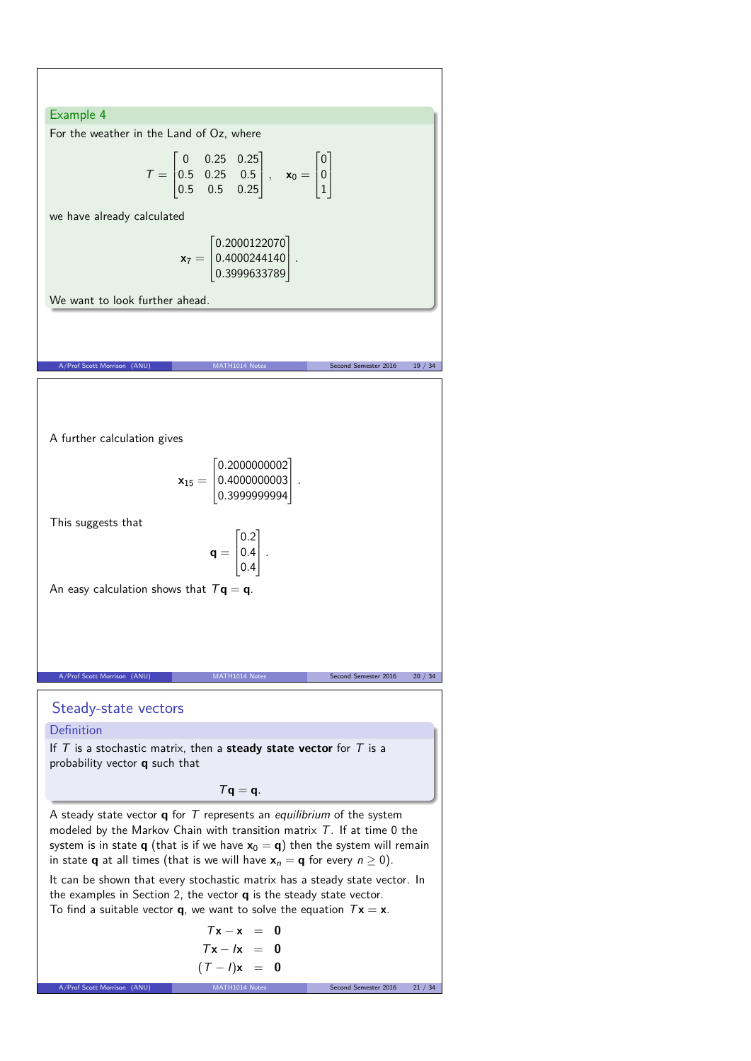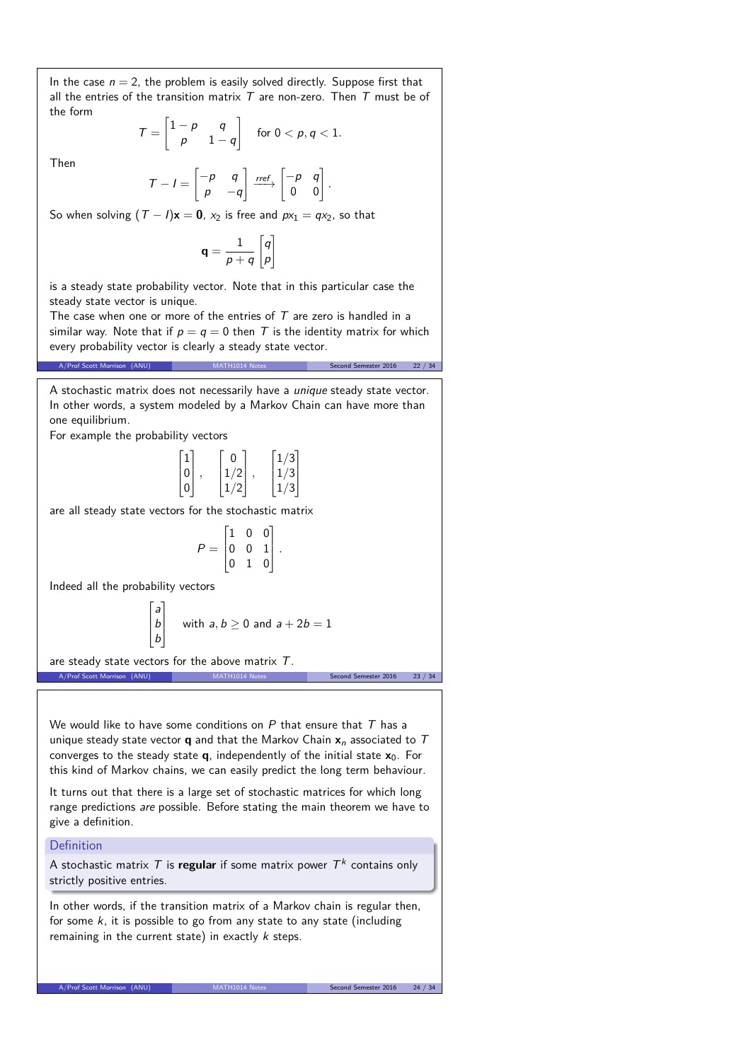In the case  $n = 2$ , the problem is easily solved directly. Suppose first that all the entries of the transition matrix  $T$  are non-zero. Then  $T$  must be of the form

$$
\mathcal{T} = \begin{bmatrix} 1-p & q \\ p & 1-q \end{bmatrix} \quad \text{for } 0 < p, q < 1.
$$

Then

$$
T - I = \begin{bmatrix} -p & q \\ p & -q \end{bmatrix} \xrightarrow{ref} \begin{bmatrix} -p & q \\ 0 & 0 \end{bmatrix}
$$

*.*

So when solving  $(T - I)x = 0$ ,  $x_2$  is free and  $px_1 = qx_2$ , so that

$$
\mathbf{q} = \frac{1}{p+q} \begin{bmatrix} q \\ p \end{bmatrix}
$$

is a steady state probability vector. Note that in this particular case the steady state vector is unique.

The case when one or more of the entries of  $T$  are zero is handled in a similar way. Note that if  $p = q = 0$  then T is the identity matrix for which every probability vector is clearly a steady state vector.

A/Prof Scott Morrison (ANU) MATH1014 Notes Second Semester 2016 22 / 34

A stochastic matrix does not necessarily have a unique steady state vector. In other words, a system modeled by a Markov Chain can have more than one equilibrium.

For example the probability vectors

$$
\begin{bmatrix} 1 \\ 0 \\ 0 \end{bmatrix}, \quad \begin{bmatrix} 0 \\ 1/2 \\ 1/2 \end{bmatrix}, \quad \begin{bmatrix} 1/3 \\ 1/3 \\ 1/3 \end{bmatrix}
$$

are all steady state vectors for the stochastic matrix

$$
P = \begin{bmatrix} 1 & 0 & 0 \\ 0 & 0 & 1 \\ 0 & 1 & 0 \end{bmatrix}.
$$

Indeed all the probability vectors

$$
\begin{bmatrix} a \\ b \\ b \end{bmatrix}
$$
 with  $a, b \ge 0$  and  $a + 2b = 1$ 

are steady state vectors for the above matrix  $T$ . A/Prof Scott Morrison (ANU) MATH1014 Notes Second Semester 2016 23 / 34

We would like to have some conditions on  $P$  that ensure that  $T$  has a unique steady state vector **q** and that the Markov Chain  $x_n$  associated to  $T$ converges to the steady state **q**, independently of the initial state **x**0. For this kind of Markov chains, we can easily predict the long term behaviour.

It turns out that there is a large set of stochastic matrices for which long range predictions are possible. Before stating the main theorem we have to give a definition.

#### Definition

A stochastic matrix  $T$  is **regular** if some matrix power  $T^k$  contains only strictly positive entries.

In other words, if the transition matrix of a Markov chain is regular then, for some  $k$ , it is possible to go from any state to any state (including remaining in the current state) in exactly  $k$  steps.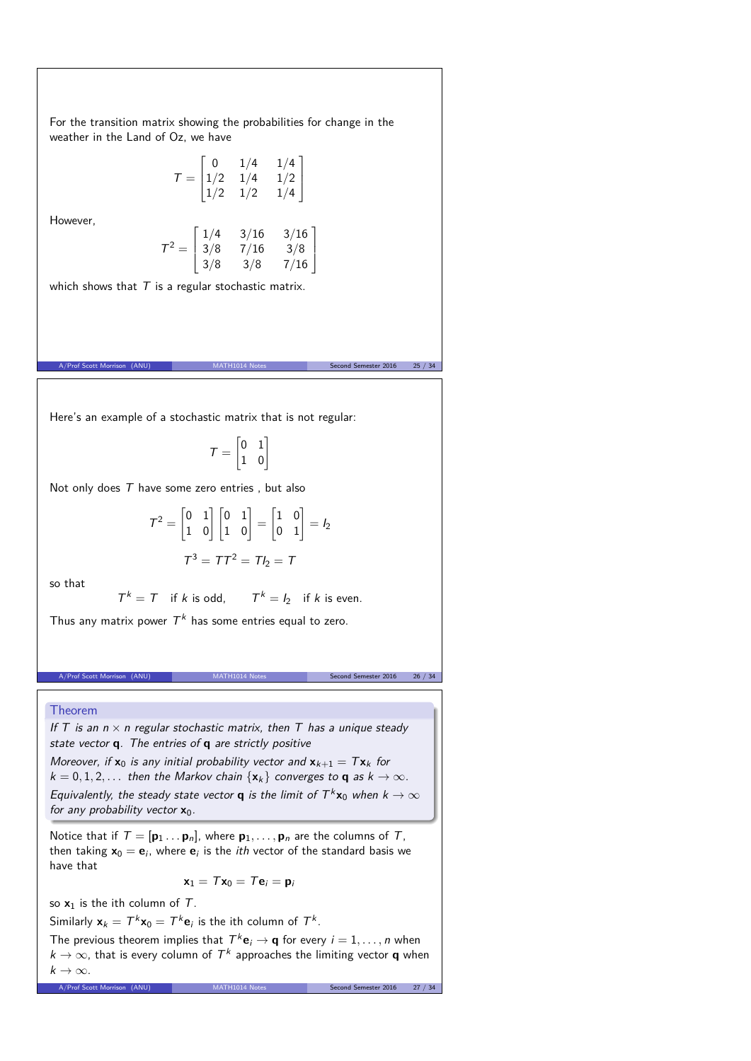For the transition matrix showing the probabilities for change in the weather in the Land of Oz, we have

$$
\mathcal{T} = \begin{bmatrix} 0 & 1/4 & 1/4 \\ 1/2 & 1/4 & 1/2 \\ 1/2 & 1/2 & 1/4 \end{bmatrix}
$$

However,

$$
\mathcal{T}^2 = \begin{bmatrix} 1/4 & 3/16 & 3/16 \\ 3/8 & 7/16 & 3/8 \\ 3/8 & 3/8 & 7/16 \end{bmatrix}
$$

which shows that  $T$  is a regular stochastic matrix.

Here's an example of a stochastic matrix that is not regular:

$$
\mathcal{T} = \begin{bmatrix} 0 & 1 \\ 1 & 0 \end{bmatrix}
$$

A/Prof Scott Morrison (ANU) MATH1014 Notes Second Semester 2016 25 / 34

Not only does  $T$  have some zero entries, but also

$$
\mathcal{T}^2 = \begin{bmatrix} 0 & 1 \\ 1 & 0 \end{bmatrix} \begin{bmatrix} 0 & 1 \\ 1 & 0 \end{bmatrix} = \begin{bmatrix} 1 & 0 \\ 0 & 1 \end{bmatrix} = I_2
$$

$$
\mathcal{T}^3 = \mathcal{T}\mathcal{T}^2 = \mathcal{T}I_2 = \mathcal{T}
$$

so that

 $T^k = T$  if k is odd, T  $T^k = I_2$  if k is even.

Thus any matrix power  $T^k$  has some entries equal to zero.

A/Prof Scott Morrison (ANU) MATH1014 Notes Second Semester 2016 26 / 34

#### Theorem

If T is an  $n \times n$  regular stochastic matrix, then T has a unique steady state vector **q**. The entries of **q** are strictly positive Moreover, if  $x_0$  is any initial probability vector and  $x_{k+1} = Tx_k$  for

 $k = 0, 1, 2, \ldots$  then the Markov chain  $\{x_k\}$  converges to **q** as  $k \to \infty$ . Equivalently, the steady state vector **q** is the limit of  $T^k \mathbf{x}_0$  when  $k \to \infty$ for any probability vector **x**0.

Notice that if  $T = [\mathbf{p}_1 \dots \mathbf{p}_n]$ , where  $\mathbf{p}_1, \dots, \mathbf{p}_n$  are the columns of T, then taking  $x_0 = e_i$ , where  $e_i$  is the *ith* vector of the standard basis we have that

$$
\mathbf{x}_1 = \mathcal{T} \mathbf{x}_0 = \mathcal{T} \mathbf{e}_i = \mathbf{p}_i
$$

so **x**<sup>1</sup> is the ith column of T.

Similarly  $\mathbf{x}_k = T^k \mathbf{x}_0 = T^k \mathbf{e}_i$  is the ith column of  $T^k$ .

The previous theorem implies that  $T^k \mathbf{e}_i \to \mathbf{q}$  for every  $i = 1, \ldots, n$  when  $k \to \infty$ , that is every column of  $\mathcal{T}^k$  approaches the limiting vector **q** when  $k \to \infty$ .

A/Prof Scott Morrison (ANU) MATH1014 Notes Second Semester 2016 27 / 34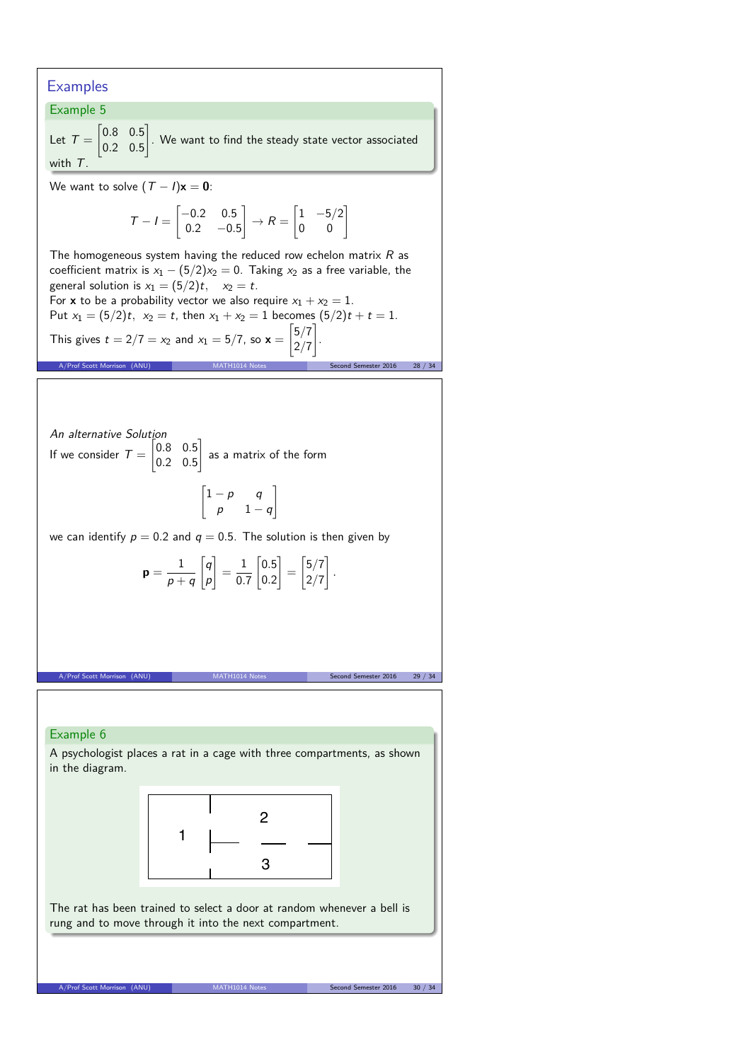# **Examples**

with T.

Example 5 Let  $T =$  $\begin{bmatrix} 0.8 & 0.5 \end{bmatrix}$ 0*.*2 0*.*5 1 . We want to find the steady state vector associated

We want to solve  $(T - I)\mathbf{x} = \mathbf{0}$ :

$$
T - I = \begin{bmatrix} -0.2 & 0.5 \\ 0.2 & -0.5 \end{bmatrix} \rightarrow R = \begin{bmatrix} 1 & -5/2 \\ 0 & 0 \end{bmatrix}
$$

The homogeneous system having the reduced row echelon matrix  $R$  as coefficient matrix is  $x_1 - (5/2)x_2 = 0$ . Taking  $x_2$  as a free variable, the general solution is  $x_1 = (5/2)t$ ,  $x_2 = t$ . For **x** to be a probability vector we also require  $x_1 + x_2 = 1$ . Put  $x_1 = (5/2)t$ ,  $x_2 = t$ , then  $x_1 + x_2 = 1$  becomes  $(5/2)t + t = 1$ .

This gives 
$$
t = 2/7 = x_2
$$
 and  $x_1 = 5/7$ , so  $\mathbf{x} = \begin{bmatrix} 5/7 \\ 2/7 \end{bmatrix}$ .  
\nA/Prof Scott Morrison (ANU)  
\nMATH1014 Notes  
\nSecond Semester 2016 28 / 34

An alternative Solution If we consider  $T =$  $\begin{bmatrix} 0.8 & 0.5 \end{bmatrix}$ 0*.*2 0*.*5 1 as a matrix of the form

$$
\begin{bmatrix} 1-p & q \\ p & 1-q \end{bmatrix}
$$

1

we can identify  $p = 0.2$  and  $q = 0.5$ . The solution is then given by

$$
\mathbf{p} = \frac{1}{p+q} \begin{bmatrix} q \\ p \end{bmatrix} = \frac{1}{0.7} \begin{bmatrix} 0.5 \\ 0.2 \end{bmatrix} = \begin{bmatrix} 5/7 \\ 2/7 \end{bmatrix}.
$$

A/Prof Scott Morrison (ANU) MATH1014 Notes Second Semester 2016 29 / 34

Example 6 A psychologist places a rat in a cage with three compartments, as shown in the diagram.



The rat has been trained to select a door at random whenever a bell is rung and to move through it into the next compartment.

A/Prof Scott Morrison (ANU) MATH1014 Notes Second Semester 2016 30 / 34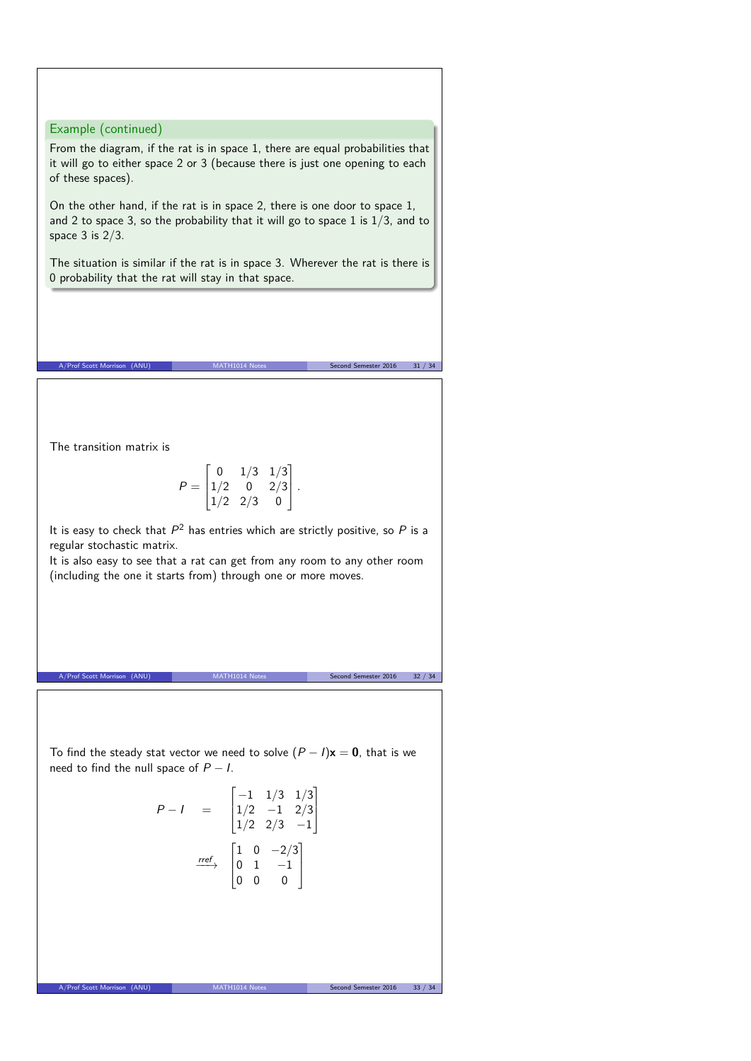Example (continued)

From the diagram, if the rat is in space 1, there are equal probabilities that it will go to either space 2 or 3 (because there is just one opening to each of these spaces).

On the other hand, if the rat is in space 2, there is one door to space 1, and 2 to space 3, so the probability that it will go to space 1 is  $1/3$ , and to space  $3$  is  $2/3$ .

The situation is similar if the rat is in space 3. Wherever the rat is there is 0 probability that the rat will stay in that space.

A/Prof Scott Morrison (ANU) MATH1014 Notes Second Semester 2016 31 / 34

The transition matrix is

$$
P = \begin{bmatrix} 0 & 1/3 & 1/3 \\ 1/2 & 0 & 2/3 \\ 1/2 & 2/3 & 0 \end{bmatrix}.
$$

It is easy to check that  $P^2$  has entries which are strictly positive, so  $P$  is a regular stochastic matrix.

It is also easy to see that a rat can get from any room to any other room (including the one it starts from) through one or more moves.

A/Prof Scott Morrison (ANU) MATH1014 Notes Second Semester 2016 32 / 34

To find the steady stat vector we need to solve  $(P - I)\mathbf{x} = \mathbf{0}$ , that is we need to find the null space of  $P - I$ .

$$
P-I = \begin{bmatrix} -1 & 1/3 & 1/3 \\ 1/2 & -1 & 2/3 \\ 1/2 & 2/3 & -1 \end{bmatrix}
$$

$$
\xrightarrow{rref} \begin{bmatrix} 1 & 0 & -2/3 \\ 0 & 1 & -1 \\ 0 & 0 & 0 \end{bmatrix}
$$

A/Prof Scott Morrison (ANU) MATH1014 Notes Second Semester 2016 33 / 34